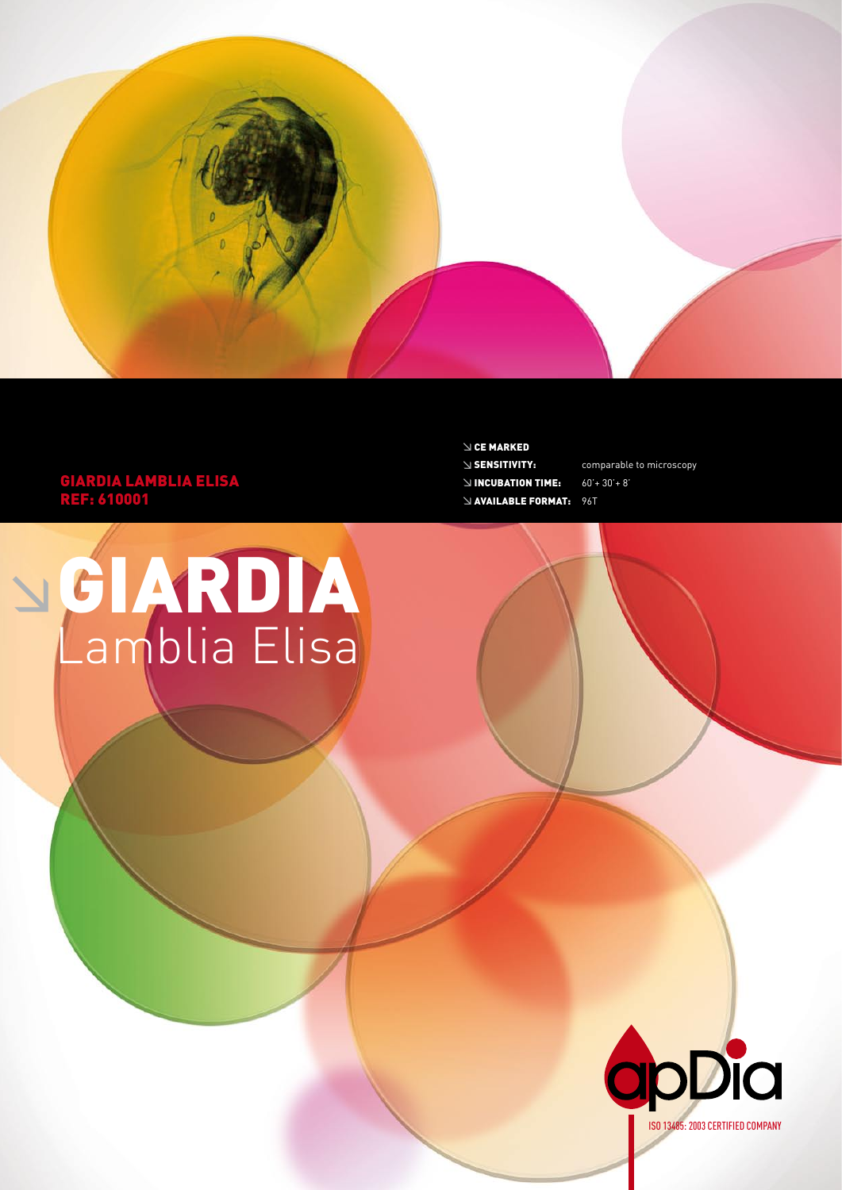

 $\searrow$  CE MARKED  $\vee$  SENSITIVITY:

 $\leq$  INCUBATION TIME:

**NAVAILABLE FORMAT: 96T** 

comparable to microscopy

 $60'+30'+8'$ 

## **GIARDIA LAMBLIA ELISA<br>REF: 610001**

NGIARDIA<br>Lamblia Elisa